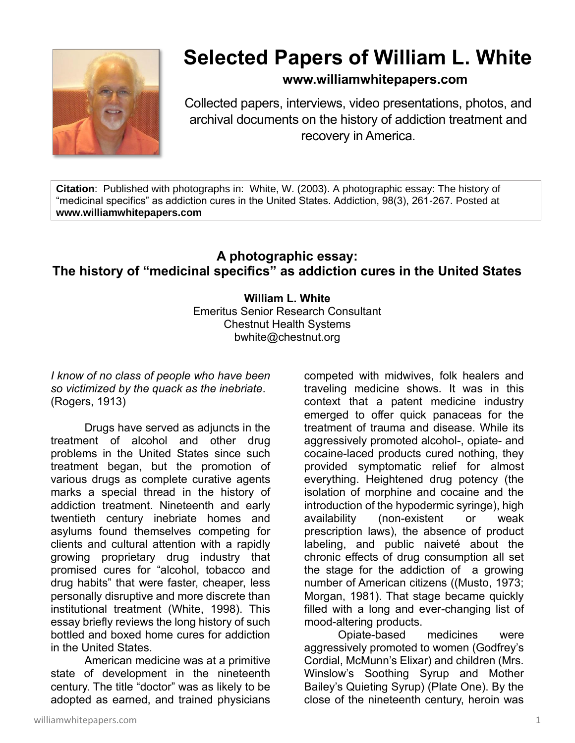

## **Selected Papers of William L. White**

## **www.williamwhitepapers.com**

Collected papers, interviews, video presentations, photos, and archival documents on the history of addiction treatment and recovery in America.

**Citation**: Published with photographs in: White, W. (2003). A photographic essay: The history of "medicinal specifics" as addiction cures in the United States. Addiction, 98(3), 261-267. Posted at **www.williamwhitepapers.com**

## **A photographic essay: The history of "medicinal specifics" as addiction cures in the United States**

**William L. White** Emeritus Senior Research Consultant Chestnut Health Systems bwhite@chestnut.org

*I know of no class of people who have been so victimized by the quack as the inebriate*. (Rogers, 1913)

Drugs have served as adjuncts in the treatment of alcohol and other drug problems in the United States since such treatment began, but the promotion of various drugs as complete curative agents marks a special thread in the history of addiction treatment. Nineteenth and early twentieth century inebriate homes and asylums found themselves competing for clients and cultural attention with a rapidly growing proprietary drug industry that promised cures for "alcohol, tobacco and drug habits" that were faster, cheaper, less personally disruptive and more discrete than institutional treatment (White, 1998). This essay briefly reviews the long history of such bottled and boxed home cures for addiction in the United States.

American medicine was at a primitive state of development in the nineteenth century. The title "doctor" was as likely to be adopted as earned, and trained physicians

competed with midwives, folk healers and traveling medicine shows. It was in this context that a patent medicine industry emerged to offer quick panaceas for the treatment of trauma and disease. While its aggressively promoted alcohol-, opiate- and cocaine-laced products cured nothing, they provided symptomatic relief for almost everything. Heightened drug potency (the isolation of morphine and cocaine and the introduction of the hypodermic syringe), high availability (non-existent or weak prescription laws), the absence of product labeling, and public naiveté about the chronic effects of drug consumption all set the stage for the addiction of a growing number of American citizens ((Musto, 1973; Morgan, 1981). That stage became quickly filled with a long and ever-changing list of mood-altering products.

Opiate-based medicines were aggressively promoted to women (Godfrey's Cordial, McMunn's Elixar) and children (Mrs. Winslow's Soothing Syrup and Mother Bailey's Quieting Syrup) (Plate One). By the close of the nineteenth century, heroin was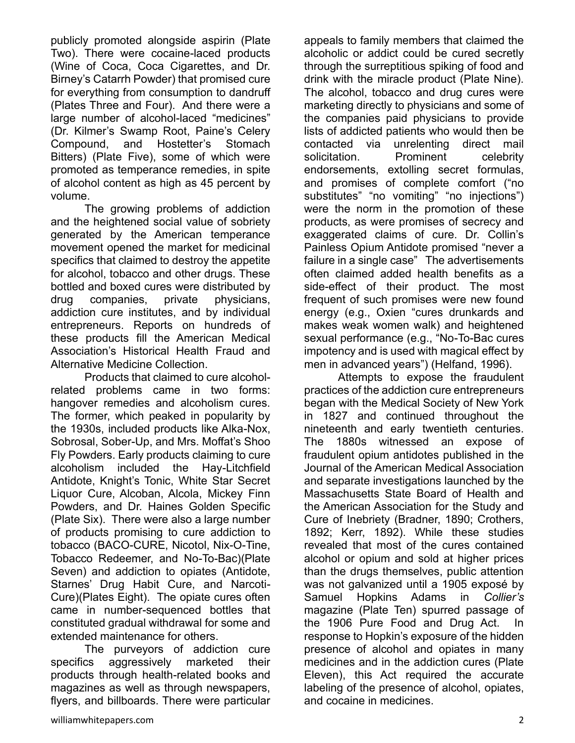publicly promoted alongside aspirin (Plate Two). There were cocaine-laced products (Wine of Coca, Coca Cigarettes, and Dr. Birney's Catarrh Powder) that promised cure for everything from consumption to dandruff (Plates Three and Four). And there were a large number of alcohol-laced "medicines" (Dr. Kilmer's Swamp Root, Paine's Celery Compound, and Hostetter's Stomach Bitters) (Plate Five), some of which were promoted as temperance remedies, in spite of alcohol content as high as 45 percent by volume.

The growing problems of addiction and the heightened social value of sobriety generated by the American temperance movement opened the market for medicinal specifics that claimed to destroy the appetite for alcohol, tobacco and other drugs. These bottled and boxed cures were distributed by drug companies, private physicians, addiction cure institutes, and by individual entrepreneurs. Reports on hundreds of these products fill the American Medical Association's Historical Health Fraud and Alternative Medicine Collection.

Products that claimed to cure alcoholrelated problems came in two forms: hangover remedies and alcoholism cures. The former, which peaked in popularity by the 1930s, included products like Alka-Nox, Sobrosal, Sober-Up, and Mrs. Moffat's Shoo Fly Powders. Early products claiming to cure alcoholism included the Hay-Litchfield Antidote, Knight's Tonic, White Star Secret Liquor Cure, Alcoban, Alcola, Mickey Finn Powders, and Dr. Haines Golden Specific (Plate Six). There were also a large number of products promising to cure addiction to tobacco (BACO-CURE, Nicotol, Nix-O-Tine, Tobacco Redeemer, and No-To-Bac)(Plate Seven) and addiction to opiates (Antidote, Starnes' Drug Habit Cure, and Narcoti-Cure)(Plates Eight). The opiate cures often came in number-sequenced bottles that constituted gradual withdrawal for some and extended maintenance for others.

The purveyors of addiction cure specifics aggressively marketed their products through health-related books and magazines as well as through newspapers, flyers, and billboards. There were particular

appeals to family members that claimed the alcoholic or addict could be cured secretly through the surreptitious spiking of food and drink with the miracle product (Plate Nine). The alcohol, tobacco and drug cures were marketing directly to physicians and some of the companies paid physicians to provide lists of addicted patients who would then be contacted via unrelenting direct mail solicitation. Prominent celebrity endorsements, extolling secret formulas, and promises of complete comfort ("no substitutes" "no vomiting" "no injections") were the norm in the promotion of these products, as were promises of secrecy and exaggerated claims of cure. Dr. Collin's Painless Opium Antidote promised "never a failure in a single case" The advertisements often claimed added health benefits as a side-effect of their product. The most frequent of such promises were new found energy (e.g., Oxien "cures drunkards and makes weak women walk) and heightened sexual performance (e.g., "No-To-Bac cures impotency and is used with magical effect by men in advanced years") (Helfand, 1996).

Attempts to expose the fraudulent practices of the addiction cure entrepreneurs began with the Medical Society of New York in 1827 and continued throughout the nineteenth and early twentieth centuries. The 1880s witnessed an expose of fraudulent opium antidotes published in the Journal of the American Medical Association and separate investigations launched by the Massachusetts State Board of Health and the American Association for the Study and Cure of Inebriety (Bradner, 1890; Crothers, 1892; Kerr, 1892). While these studies revealed that most of the cures contained alcohol or opium and sold at higher prices than the drugs themselves, public attention was not galvanized until a 1905 exposé by Samuel Hopkins Adams in *Collier's*  magazine (Plate Ten) spurred passage of the 1906 Pure Food and Drug Act. In response to Hopkin's exposure of the hidden presence of alcohol and opiates in many medicines and in the addiction cures (Plate Eleven), this Act required the accurate labeling of the presence of alcohol, opiates, and cocaine in medicines.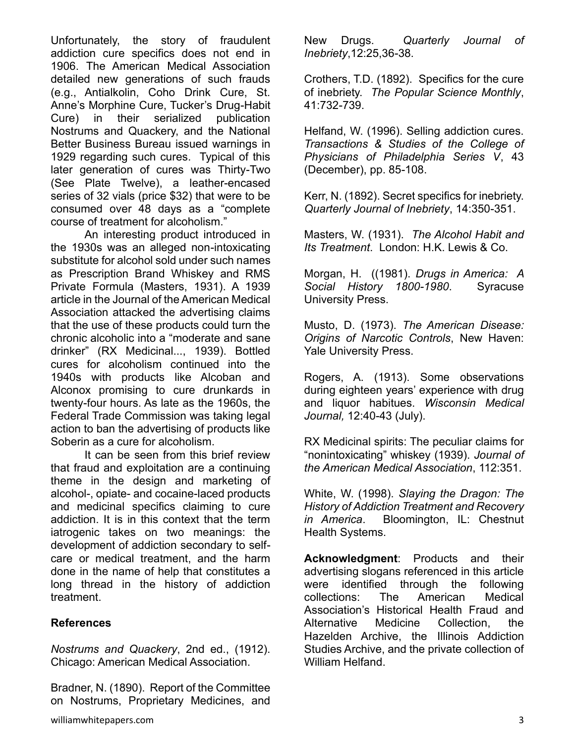Unfortunately, the story of fraudulent addiction cure specifics does not end in 1906. The American Medical Association detailed new generations of such frauds (e.g., Antialkolin, Coho Drink Cure, St. Anne's Morphine Cure, Tucker's Drug-Habit Cure) in their serialized publication Nostrums and Quackery, and the National Better Business Bureau issued warnings in 1929 regarding such cures. Typical of this later generation of cures was Thirty-Two (See Plate Twelve), a leather-encased series of 32 vials (price \$32) that were to be consumed over 48 days as a "complete course of treatment for alcoholism."

An interesting product introduced in the 1930s was an alleged non-intoxicating substitute for alcohol sold under such names as Prescription Brand Whiskey and RMS Private Formula (Masters, 1931). A 1939 article in the Journal of the American Medical Association attacked the advertising claims that the use of these products could turn the chronic alcoholic into a "moderate and sane drinker" (RX Medicinal..., 1939). Bottled cures for alcoholism continued into the 1940s with products like Alcoban and Alconox promising to cure drunkards in twenty-four hours. As late as the 1960s, the Federal Trade Commission was taking legal action to ban the advertising of products like Soberin as a cure for alcoholism.

It can be seen from this brief review that fraud and exploitation are a continuing theme in the design and marketing of alcohol-, opiate- and cocaine-laced products and medicinal specifics claiming to cure addiction. It is in this context that the term iatrogenic takes on two meanings: the development of addiction secondary to selfcare or medical treatment, and the harm done in the name of help that constitutes a long thread in the history of addiction treatment.

## **References**

*Nostrums and Quackery*, 2nd ed., (1912). Chicago: American Medical Association.

Bradner, N. (1890). Report of the Committee on Nostrums, Proprietary Medicines, and New Drugs. *Quarterly Journal of Inebriety*,12:25,36-38.

Crothers, T.D. (1892). Specifics for the cure of inebriety. *The Popular Science Monthly*, 41:732-739.

Helfand, W. (1996). Selling addiction cures. *Transactions & Studies of the College of Physicians of Philadelphia Series V*, 43 (December), pp. 85-108.

Kerr, N. (1892). Secret specifics for inebriety. *Quarterly Journal of Inebriety*, 14:350-351.

Masters, W. (1931). *The Alcohol Habit and Its Treatment*. London: H.K. Lewis & Co.

Morgan, H. ((1981). *Drugs in America: A Social History 1800-1980*. Syracuse University Press.

Musto, D. (1973). *The American Disease: Origins of Narcotic Controls*, New Haven: Yale University Press.

Rogers, A. (1913). Some observations during eighteen years' experience with drug and liquor habitues. *Wisconsin Medical Journal,* 12:40-43 (July).

RX Medicinal spirits: The peculiar claims for "nonintoxicating" whiskey (1939). *Journal of the American Medical Association*, 112:351.

White, W. (1998). *Slaying the Dragon: The History of Addiction Treatment and Recovery in America*. Bloomington, IL: Chestnut Health Systems.

**Acknowledgment**: Products and their advertising slogans referenced in this article were identified through the following collections: The American Medical Association's Historical Health Fraud and Alternative Medicine Collection, the Hazelden Archive, the Illinois Addiction Studies Archive, and the private collection of William Helfand.